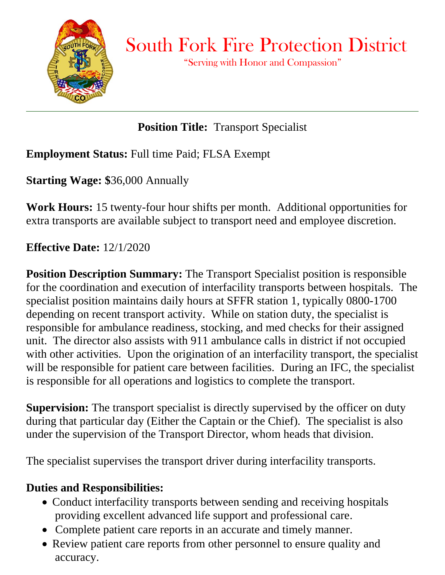

 $\overline{a}$ 

South Fork Fire Protection District

"Serving with Honor and Compassion"

# **Position Title:** Transport Specialist

### **Employment Status:** Full time Paid; FLSA Exempt

**Starting Wage: \$**36,000 Annually

**Work Hours:** 15 twenty-four hour shifts per month. Additional opportunities for extra transports are available subject to transport need and employee discretion.

### **Effective Date:** 12/1/2020

**Position Description Summary:** The Transport Specialist position is responsible for the coordination and execution of interfacility transports between hospitals. The specialist position maintains daily hours at SFFR station 1, typically 0800-1700 depending on recent transport activity. While on station duty, the specialist is responsible for ambulance readiness, stocking, and med checks for their assigned unit. The director also assists with 911 ambulance calls in district if not occupied with other activities. Upon the origination of an interfacility transport, the specialist will be responsible for patient care between facilities. During an IFC, the specialist is responsible for all operations and logistics to complete the transport.

**Supervision:** The transport specialist is directly supervised by the officer on duty during that particular day (Either the Captain or the Chief). The specialist is also under the supervision of the Transport Director, whom heads that division.

The specialist supervises the transport driver during interfacility transports.

### **Duties and Responsibilities:**

- Conduct interfacility transports between sending and receiving hospitals providing excellent advanced life support and professional care.
- Complete patient care reports in an accurate and timely manner.
- Review patient care reports from other personnel to ensure quality and accuracy.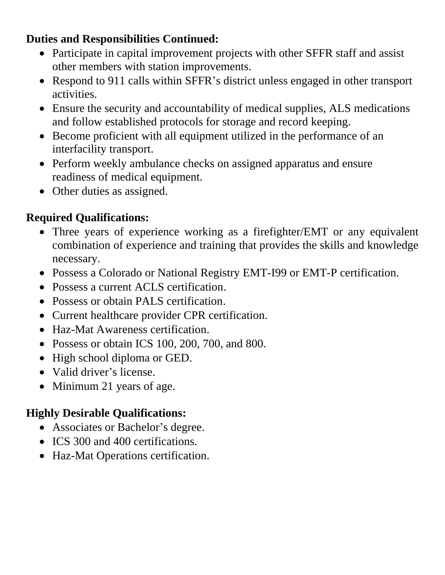### **Duties and Responsibilities Continued:**

- Participate in capital improvement projects with other SFFR staff and assist other members with station improvements.
- Respond to 911 calls within SFFR's district unless engaged in other transport activities.
- Ensure the security and accountability of medical supplies, ALS medications and follow established protocols for storage and record keeping.
- Become proficient with all equipment utilized in the performance of an interfacility transport.
- Perform weekly ambulance checks on assigned apparatus and ensure readiness of medical equipment.
- Other duties as assigned.

### **Required Qualifications:**

- Three years of experience working as a firefighter/EMT or any equivalent combination of experience and training that provides the skills and knowledge necessary.
- Possess a Colorado or National Registry EMT-I99 or EMT-P certification.
- Possess a current ACLS certification.
- Possess or obtain PALS certification.
- Current healthcare provider CPR certification.
- Haz-Mat Awareness certification.
- Possess or obtain ICS 100, 200, 700, and 800.
- High school diploma or GED.
- Valid driver's license.
- Minimum 21 years of age.

## **Highly Desirable Qualifications:**

- Associates or Bachelor's degree.
- ICS 300 and 400 certifications.
- Haz-Mat Operations certification.